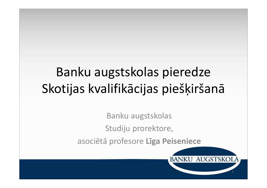## Banku augstskolas pieredzeSkotijas kvalifikācijas piešķiršanā

Banku augstskolas

Studiju prorektore,

asociētā profesore **Līga Peiseniece**

1

**BANKU AUGSTSKOLA**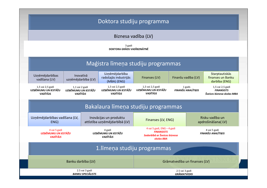| Doktora studiju programma                                  |                                                          |                                  |                                                            |                                                                                               |                                     |                                      |                                                                     |
|------------------------------------------------------------|----------------------------------------------------------|----------------------------------|------------------------------------------------------------|-----------------------------------------------------------------------------------------------|-------------------------------------|--------------------------------------|---------------------------------------------------------------------|
|                                                            |                                                          |                                  | Biznesa vadība (LV)                                        |                                                                                               |                                     |                                      |                                                                     |
|                                                            |                                                          |                                  | 3 gadi<br>DOKTORA GRĀDS VADĪBZINĀTNĒ                       |                                                                                               |                                     |                                      |                                                                     |
|                                                            |                                                          |                                  |                                                            | Maģistra līmeņa studiju programmas                                                            |                                     |                                      |                                                                     |
| Uzņēmējdarbības<br>vadīšana (LV)                           |                                                          | Inovatīvā<br>uzņēmējdarbība (LV) | Uzņēmējdarbība<br>radošajās industrijās<br>(MBA) (ENG)     | Finanses (LV)                                                                                 | Finanšu vadība (LV)                 |                                      | <b>Starptautiskās</b><br>finanses un Banku<br>darbība (ENG)         |
| 1,5 vai 2,5 gadi<br>UZŅĒMUMU UN IESTĀŽU<br><b>VADĪTĀJS</b> | 1,1 vai 2 gadi<br>UZŅĒMUMU UN IESTĀŽU<br><b>VADĪTĀJS</b> |                                  | 1,5 vai 2,5 gadi<br>UZŅĒMUMU UN IESTĀŽU<br><b>VADĪTĀJS</b> | 1,5 vai 2,5 gadi<br>UZŅĒMUMU UN IESTĀŽU<br><b>VADĪTĀJS</b>                                    | 1 gads<br><b>FINANŠU ANALĪTIĶIS</b> |                                      | 1,5 vai 2,5 gadi<br><b>FINANSISTS</b><br>Šveices biznesa skolas MBA |
|                                                            |                                                          |                                  |                                                            | Bakalaura līmeņa studiju programmas                                                           |                                     |                                      |                                                                     |
| Uzņēmējdarbības vadīšana (LV,<br>ENG)                      |                                                          |                                  | Inovācijas un produktu<br>attīstība uzņēmējdarbībā (LV)    | Finanses (LV, ENG)                                                                            |                                     | Risku vadība un<br>apdrošināšana(LV) |                                                                     |
| 4 vai 5 gadi<br>UZŅĒMUMU UN IESTĀŽU<br><b>VADĪTĀJS</b>     |                                                          |                                  | 4 gadi<br>UZŅĒMUMU UN IESTĀŽU<br><b>VADĪTĀJS</b>           | 4 vai 5 gadi, ENG - 4 gadi<br><b>FINANSISTS</b><br>Sadarbībā ar Šveices biznesa<br>skolas BBA |                                     | 4 vai 5 gadi<br>FINANŠU ANALĪTIĶIS   |                                                                     |
|                                                            |                                                          |                                  |                                                            | 1. līmeņa studiju programmas                                                                  |                                     |                                      |                                                                     |
| Banku darbība (LV)                                         |                                                          |                                  |                                                            | Grāmatvedība un finanses (LV)                                                                 |                                     |                                      |                                                                     |
| 2.5 vai 3 gadi<br><b>BANKU SPECIĀLISTS</b>                 |                                                          |                                  |                                                            | 2.5 vai 3 gadi<br><b>GRĀMATVEDIS</b>                                                          |                                     |                                      |                                                                     |

**SEE**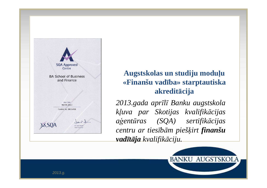

#### **Augstskolas un studiju moduļu «Finanšu vadība» starptautiska akreditācija**

*2013.gada aprīlī Banku augstskola kļuva par Skotijas kvalifikācijas aģent<sup>ū</sup>ras (SQA) sertifikācijas centru ar tiesīb<sup>ā</sup><sup>m</sup> <sup>p</sup>iešķirt finanšuvadītāja kvalifik āciju.*

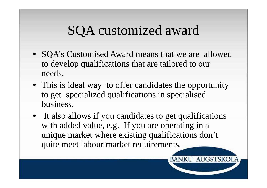## SQA customized award

- SQA's Customised Award means that we are allowed to develop qualifications that are tailored to our needs.
- This is ideal way to offer candidates the opportunity to get specialized qualifications in specialised business.
- It also allows if you candidates to get qualifications with added value, e.g. If you are operating in a unique market where existing qualifications don't quite meet labour market requirements.

**BANKU AUGSTSKOI**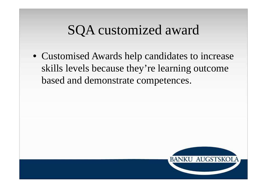## SQA customized award

• Customised Awards help candidates to increase skills levels because they're learning outcome based and demonstrate competences.

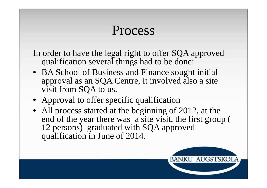## Process

In order to have the legal right to offer SQA approved qualification several things had to be done:

- BA School of Business and Finance sought initial approval as an SQA Centre, it involved also a site visit from SQA to us.
- Approval to offer specific qualification
- All process started at the beginning of 2012, at the end of the year there was a site visit, the first group ( 12 persons) graduated with SQA approved qualification in June of 2014.

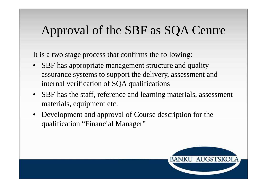#### Approval of the SBF as SQA Centre

It is a two stage process that confirms the following:

- SBF has appropriate management structure and quality assurance systems to support the delivery, assessment and internal verification of SQA qualifications
- SBF has the staff, reference and learning materials, assessment materials, equipment etc.
- Development and approval of Course description for the qualification "Financial Manager"

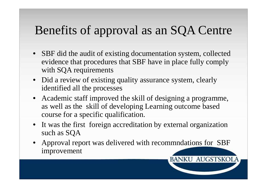### Benefits of approval as an SQA Centre

- SBF did the audit of existing documentation system, collected evidence that procedures that SBF have in place fully comply with SQA requirements
- Did a review of existing quality assurance system, clearly identified all the processes
- Academic staff improved the skill of designing a programme, as well as the skill of developing Learning outcome based course for a specific qualification.
- It was the first foreign accreditation by external organization such as SQA
- Approval report was delivered with recommndations for SBF improvement

**BANKU AUGSTSKOL**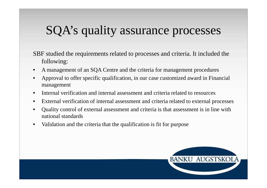### SQA's quality assurance processes

SBF studied the requirements related to processes and criteria. It included the following:

- $\bullet$ A management of an SQA Centre and the criteria for management procedures
- • Approval to offer specific qualification, in our case customized award in Financial management
- $\bullet$ Internal verification and internal assessment and criteria related to resources
- •External verification of internal assessment and criteria related to external processes
- • Quality control of external assessment and criteria is that assessment is in line with national standards
- •Validation and the criteria that the qualification is fit for purpose

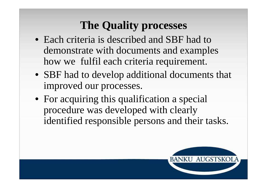### **The Quality processes**

- Each criteria is described and SBF had to demonstrate with documents and examples how we fulfil each criteria requirement.
- SBF had to develop additional documents that improved our processes.
- For acquiring this qualification a special procedure was developed with clearly identified responsible persons and their tasks.

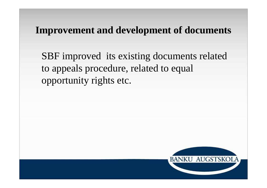#### **Improvement and development of documents**

SBF improved its existing documents related to appeals procedure, related to equal opportunity rights etc.

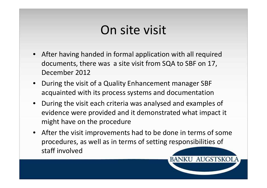## On site visit

- After having handed in formal application with all required documents, there was a site visit from SQA to SBF on 17, December 2012
- During the visit of a Quality Enhancement manager SBF acquainted with its process systems and documentation
- During the visit each criteria was analysed and examples of evidence were provided and it demonstrated what impact it might have on the procedure
- After the visit improvements had to be done in terms of some procedures, as well as in terms of setting responsibilities of staff involved

**BANKU AUGSTSKOL**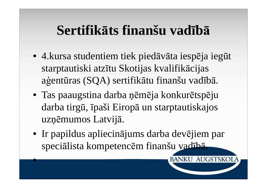## **Sertifikāts finanšu vadībā**

- 4.kursa studentiem tiek pied<sup>ā</sup>v<sup>ā</sup>ta iespēja ieg<sup>ū</sup><sup>t</sup> starptautiski atzītu Skotijas kvalifikācijas <sup>a</sup>ģentūras (SQA) sertifikātu finanšu vadībā.
- Tas paaugstina darba ņēm<sup>ē</sup>ja konkur<sup>ē</sup>tsp<sup>ē</sup>ju darba tirg<sup>ū</sup>, īpaši Eiropā un starptautiskajos uzņēmumos Latvij<sup>ā</sup>.
- Ir papildus apliecinājums darba devējiem par speciālista kompetencēm finanšu vadībā.

**BANKU AUGSTSKOI** 

•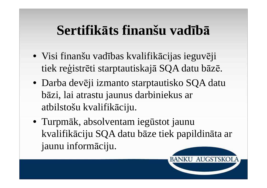## **Sertifikāts finanšu vadībā**

- Visi finanšu vadības kvalifikācijas ieguvēji tiek reģistrēti starptautiskajā SQA datu bāzē.
- Darba devēji izmanto starptautisko SQA datu bāzi, lai atrastu jaunus darbiniekus ar atbilstošu kvalifikāciju.
- Turpmāk, absolventam iegūstot jaunu kvalifikāciju SQA datu bāze tiek papildināta ar jaunu informāciju.

**BANKU AUGSTSKOI**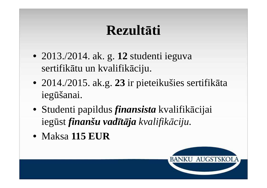# **Rezultāti**

- 2013./2014. ak. g. **12** studenti ieguva sertifikātu un kvalifikāciju.
- 2014./2015. ak.g. **23** ir pieteikušies sertifik<sup>ā</sup>ta iegūšanai.
- Studenti papildus *finansista* kvalifikācijai iegūst *finanšu vadītāja kvalifikāciju.*
- Maksa **115 EUR**